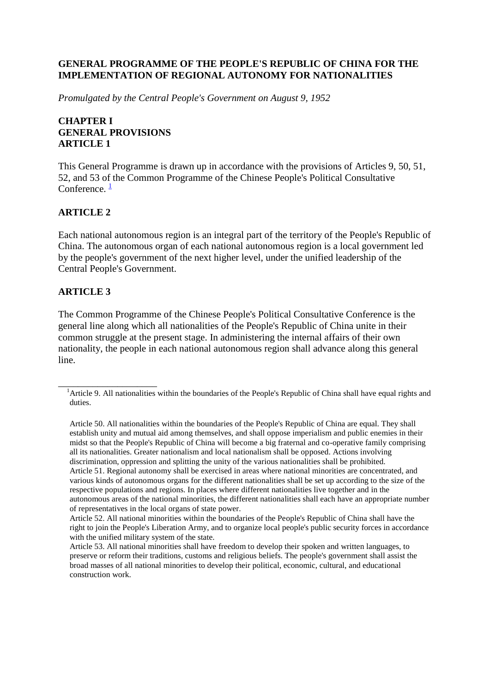## **GENERAL PROGRAMME OF THE PEOPLE'S REPUBLIC OF CHINA FOR THE IMPLEMENTATION OF REGIONAL AUTONOMY FOR NATIONALITIES**

*Promulgated by the Central People's Government on August 9, 1952*

## **CHAPTER I GENERAL PROVISIONS ARTICLE 1**

This General Programme is drawn up in accordance with the provisions of Articles 9, 50, 51, 52, and 53 of the Common Programme of the Chinese People's Political Consultative Conference.  $\frac{1}{1}$  $\frac{1}{1}$  $\frac{1}{1}$ 

## **ARTICLE 2**

Each national autonomous region is an integral part of the territory of the People's Republic of China. The autonomous organ of each national autonomous region is a local government led by the people's government of the next higher level, under the unified leadership of the Central People's Government.

#### **ARTICLE 3**

\_\_\_\_\_\_\_\_\_\_\_\_\_\_\_\_\_\_\_\_

The Common Programme of the Chinese People's Political Consultative Conference is the general line along which all nationalities of the People's Republic of China unite in their common struggle at the present stage. In administering the internal affairs of their own nationality, the people in each national autonomous region shall advance along this general line.

<sup>&</sup>lt;sup>1</sup>Article 9. All nationalities within the boundaries of the People's Republic of China shall have equal rights and duties.

Article 50. All nationalities within the boundaries of the People's Republic of China are equal. They shall establish unity and mutual aid among themselves, and shall oppose imperialism and public enemies in their midst so that the People's Republic of China will become a big fraternal and co-operative family comprising all its nationalities. Greater nationalism and local nationalism shall be opposed. Actions involving discrimination, oppression and splitting the unity of the various nationalities shall be prohibited. Article 51. Regional autonomy shall be exercised in areas where national minorities are concentrated, and various kinds of autonomous organs for the different nationalities shall be set up according to the size of the respective populations and regions. In places where different nationalities live together and in the autonomous areas of the national minorities, the different nationalities shall each have an appropriate number of representatives in the local organs of state power.

Article 52. All national minorities within the boundaries of the People's Republic of China shall have the right to join the People's Liberation Army, and to organize local people's public security forces in accordance with the unified military system of the state.

Article 53. All national minorities shall have freedom to develop their spoken and written languages, to preserve or reform their traditions, customs and religious beliefs. The people's government shall assist the broad masses of all national minorities to develop their political, economic, cultural, and educational construction work.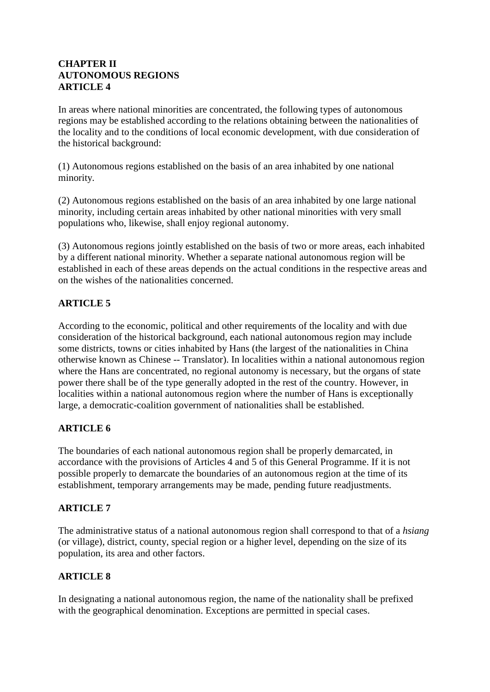## **CHAPTER II AUTONOMOUS REGIONS ARTICLE 4**

In areas where national minorities are concentrated, the following types of autonomous regions may be established according to the relations obtaining between the nationalities of the locality and to the conditions of local economic development, with due consideration of the historical background:

(1) Autonomous regions established on the basis of an area inhabited by one national minority.

(2) Autonomous regions established on the basis of an area inhabited by one large national minority, including certain areas inhabited by other national minorities with very small populations who, likewise, shall enjoy regional autonomy.

(3) Autonomous regions jointly established on the basis of two or more areas, each inhabited by a different national minority. Whether a separate national autonomous region will be established in each of these areas depends on the actual conditions in the respective areas and on the wishes of the nationalities concerned.

# **ARTICLE 5**

According to the economic, political and other requirements of the locality and with due consideration of the historical background, each national autonomous region may include some districts, towns or cities inhabited by Hans (the largest of the nationalities in China otherwise known as Chinese -- Translator). In localities within a national autonomous region where the Hans are concentrated, no regional autonomy is necessary, but the organs of state power there shall be of the type generally adopted in the rest of the country. However, in localities within a national autonomous region where the number of Hans is exceptionally large, a democratic-coalition government of nationalities shall be established.

# **ARTICLE 6**

The boundaries of each national autonomous region shall be properly demarcated, in accordance with the provisions of Articles 4 and 5 of this General Programme. If it is not possible properly to demarcate the boundaries of an autonomous region at the time of its establishment, temporary arrangements may be made, pending future readjustments.

# **ARTICLE 7**

The administrative status of a national autonomous region shall correspond to that of a *hsiang* (or village), district, county, special region or a higher level, depending on the size of its population, its area and other factors.

# **ARTICLE 8**

In designating a national autonomous region, the name of the nationality shall be prefixed with the geographical denomination. Exceptions are permitted in special cases.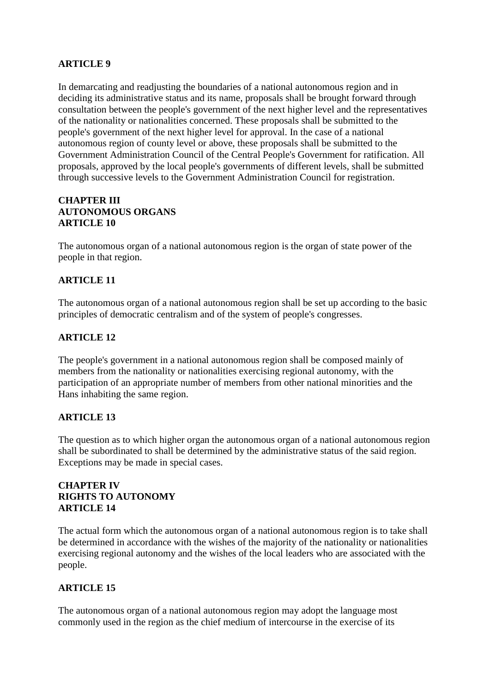# **ARTICLE 9**

In demarcating and readjusting the boundaries of a national autonomous region and in deciding its administrative status and its name, proposals shall be brought forward through consultation between the people's government of the next higher level and the representatives of the nationality or nationalities concerned. These proposals shall be submitted to the people's government of the next higher level for approval. In the case of a national autonomous region of county level or above, these proposals shall be submitted to the Government Administration Council of the Central People's Government for ratification. All proposals, approved by the local people's governments of different levels, shall be submitted through successive levels to the Government Administration Council for registration.

## **CHAPTER III AUTONOMOUS ORGANS ARTICLE 10**

The autonomous organ of a national autonomous region is the organ of state power of the people in that region.

## **ARTICLE 11**

The autonomous organ of a national autonomous region shall be set up according to the basic principles of democratic centralism and of the system of people's congresses.

#### **ARTICLE 12**

The people's government in a national autonomous region shall be composed mainly of members from the nationality or nationalities exercising regional autonomy, with the participation of an appropriate number of members from other national minorities and the Hans inhabiting the same region.

#### **ARTICLE 13**

The question as to which higher organ the autonomous organ of a national autonomous region shall be subordinated to shall be determined by the administrative status of the said region. Exceptions may be made in special cases.

## **CHAPTER IV RIGHTS TO AUTONOMY ARTICLE 14**

The actual form which the autonomous organ of a national autonomous region is to take shall be determined in accordance with the wishes of the majority of the nationality or nationalities exercising regional autonomy and the wishes of the local leaders who are associated with the people.

## **ARTICLE 15**

The autonomous organ of a national autonomous region may adopt the language most commonly used in the region as the chief medium of intercourse in the exercise of its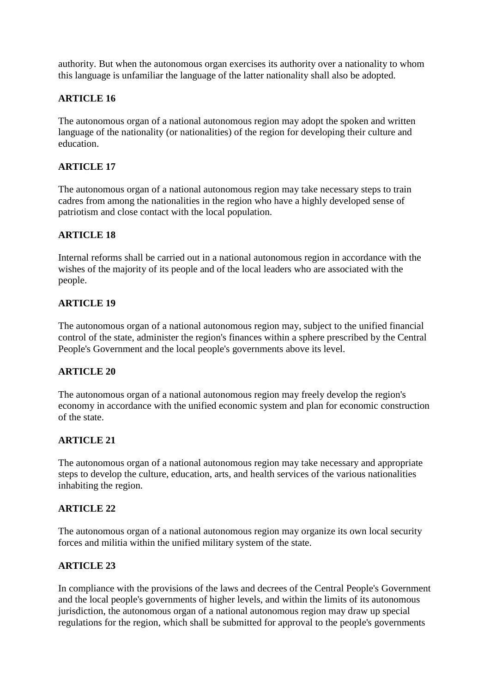authority. But when the autonomous organ exercises its authority over a nationality to whom this language is unfamiliar the language of the latter nationality shall also be adopted.

## **ARTICLE 16**

The autonomous organ of a national autonomous region may adopt the spoken and written language of the nationality (or nationalities) of the region for developing their culture and education.

# **ARTICLE 17**

The autonomous organ of a national autonomous region may take necessary steps to train cadres from among the nationalities in the region who have a highly developed sense of patriotism and close contact with the local population.

## **ARTICLE 18**

Internal reforms shall be carried out in a national autonomous region in accordance with the wishes of the majority of its people and of the local leaders who are associated with the people.

## **ARTICLE 19**

The autonomous organ of a national autonomous region may, subject to the unified financial control of the state, administer the region's finances within a sphere prescribed by the Central People's Government and the local people's governments above its level.

## **ARTICLE 20**

The autonomous organ of a national autonomous region may freely develop the region's economy in accordance with the unified economic system and plan for economic construction of the state.

## **ARTICLE 21**

The autonomous organ of a national autonomous region may take necessary and appropriate steps to develop the culture, education, arts, and health services of the various nationalities inhabiting the region.

#### **ARTICLE 22**

The autonomous organ of a national autonomous region may organize its own local security forces and militia within the unified military system of the state.

#### **ARTICLE 23**

In compliance with the provisions of the laws and decrees of the Central People's Government and the local people's governments of higher levels, and within the limits of its autonomous jurisdiction, the autonomous organ of a national autonomous region may draw up special regulations for the region, which shall be submitted for approval to the people's governments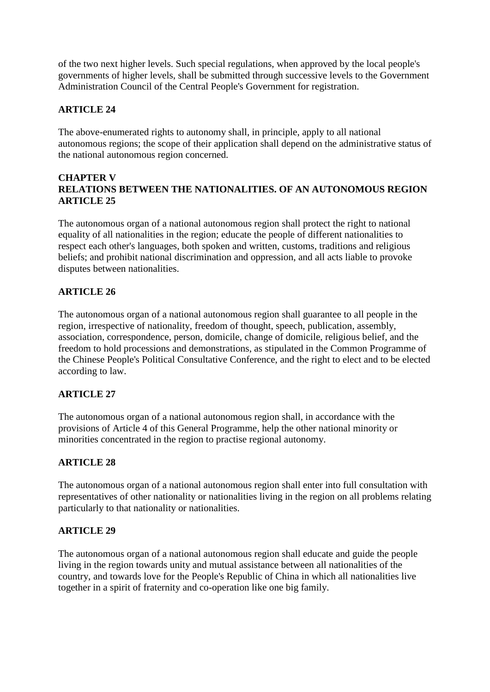of the two next higher levels. Such special regulations, when approved by the local people's governments of higher levels, shall be submitted through successive levels to the Government Administration Council of the Central People's Government for registration.

# **ARTICLE 24**

The above-enumerated rights to autonomy shall, in principle, apply to all national autonomous regions; the scope of their application shall depend on the administrative status of the national autonomous region concerned.

#### **CHAPTER V RELATIONS BETWEEN THE NATIONALITIES. OF AN AUTONOMOUS REGION ARTICLE 25**

The autonomous organ of a national autonomous region shall protect the right to national equality of all nationalities in the region; educate the people of different nationalities to respect each other's languages, both spoken and written, customs, traditions and religious beliefs; and prohibit national discrimination and oppression, and all acts liable to provoke disputes between nationalities.

## **ARTICLE 26**

The autonomous organ of a national autonomous region shall guarantee to all people in the region, irrespective of nationality, freedom of thought, speech, publication, assembly, association, correspondence, person, domicile, change of domicile, religious belief, and the freedom to hold processions and demonstrations, as stipulated in the Common Programme of the Chinese People's Political Consultative Conference, and the right to elect and to be elected according to law.

## **ARTICLE 27**

The autonomous organ of a national autonomous region shall, in accordance with the provisions of Article 4 of this General Programme, help the other national minority or minorities concentrated in the region to practise regional autonomy.

## **ARTICLE 28**

The autonomous organ of a national autonomous region shall enter into full consultation with representatives of other nationality or nationalities living in the region on all problems relating particularly to that nationality or nationalities.

## **ARTICLE 29**

The autonomous organ of a national autonomous region shall educate and guide the people living in the region towards unity and mutual assistance between all nationalities of the country, and towards love for the People's Republic of China in which all nationalities live together in a spirit of fraternity and co-operation like one big family.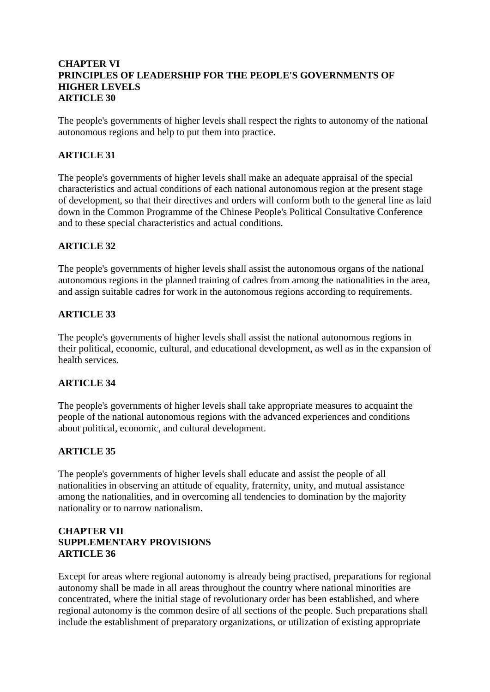### **CHAPTER VI PRINCIPLES OF LEADERSHIP FOR THE PEOPLE'S GOVERNMENTS OF HIGHER LEVELS ARTICLE 30**

The people's governments of higher levels shall respect the rights to autonomy of the national autonomous regions and help to put them into practice.

## **ARTICLE 31**

The people's governments of higher levels shall make an adequate appraisal of the special characteristics and actual conditions of each national autonomous region at the present stage of development, so that their directives and orders will conform both to the general line as laid down in the Common Programme of the Chinese People's Political Consultative Conference and to these special characteristics and actual conditions.

#### **ARTICLE 32**

The people's governments of higher levels shall assist the autonomous organs of the national autonomous regions in the planned training of cadres from among the nationalities in the area, and assign suitable cadres for work in the autonomous regions according to requirements.

#### **ARTICLE 33**

The people's governments of higher levels shall assist the national autonomous regions in their political, economic, cultural, and educational development, as well as in the expansion of health services.

#### **ARTICLE 34**

The people's governments of higher levels shall take appropriate measures to acquaint the people of the national autonomous regions with the advanced experiences and conditions about political, economic, and cultural development.

## **ARTICLE 35**

The people's governments of higher levels shall educate and assist the people of all nationalities in observing an attitude of equality, fraternity, unity, and mutual assistance among the nationalities, and in overcoming all tendencies to domination by the majority nationality or to narrow nationalism.

## **CHAPTER VII SUPPLEMENTARY PROVISIONS ARTICLE 36**

Except for areas where regional autonomy is already being practised, preparations for regional autonomy shall be made in all areas throughout the country where national minorities are concentrated, where the initial stage of revolutionary order has been established, and where regional autonomy is the common desire of all sections of the people. Such preparations shall include the establishment of preparatory organizations, or utilization of existing appropriate